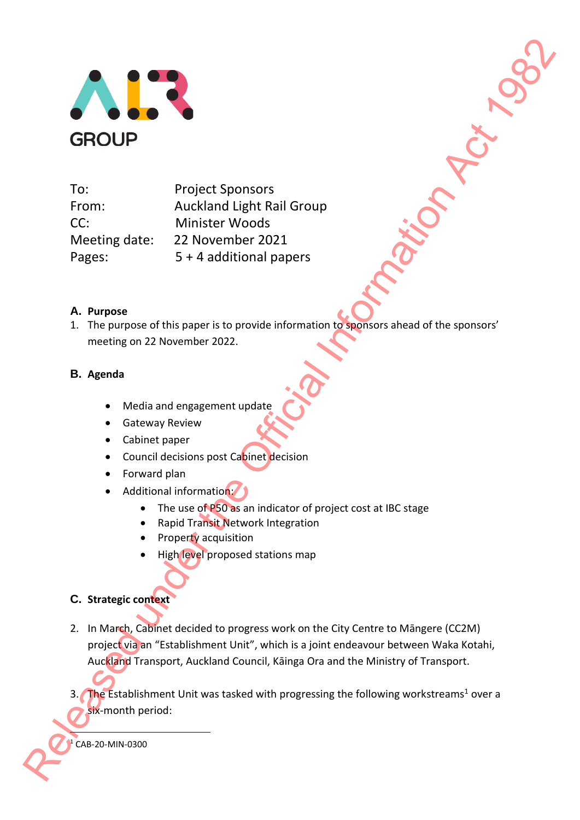

To: Project Sponsors From: Auckland Light Rail Group CC: Minister Woods Meeting date: 22 November 2021 Pages: 5 + 4 additional papers Release of this project Sponsors<br>
From: Auckleard Light frail Group<br>
CC: Minister Woods<br>
Meeting date: 22 November 2021<br>
Pages: 22 November 2021<br>
Pages: 22 November 2021<br>
A. Purpose<br>
1. The purpose of this paper is to pro

## **A. Purpose**

1. The purpose of this paper is to provide information to sponsors ahead of the sponsors' meeting on 22 November 2022.

### **B. Agenda**

- Media and engagement update
- Gateway Review
- Cabinet paper
- Council decisions post Cabinet decision
- Forward plan
- Additional information:
	- The use of P50 as an indicator of project cost at IBC stage
	- Rapid Transit Network Integration
	- Property acquisition
	- High level proposed stations map

### **C. Strategic context**

- 2. In March, Cabinet decided to progress work on the City Centre to Māngere (CC2M) project via an "Establishment Unit", which is a joint endeavour between Waka Kotahi, Auckland Transport, Auckland Council, Kāinga Ora and the Ministry of Transport.
- 3. The Establishment Unit was tasked with progressing the following workstreams<sup>1</sup> over a six-month period:

 $1$  CAB-20-MIN-0300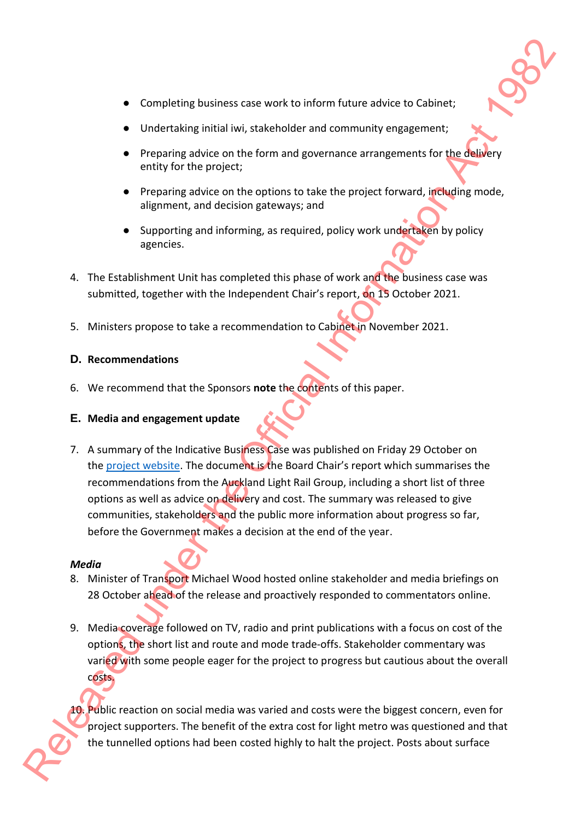- Completing business case work to inform future advice to Cabinet;
- Undertaking initial iwi, stakeholder and community engagement;
- Preparing advice on the form and governance arrangements for the delivery entity for the project;
- Preparing advice on the options to take the project forward, including mode, alignment, and decision gateways; and
- Supporting and informing, as required, policy work undertaken by policy agencies.
- 4. The Establishment Unit has completed this phase of work and the business case was submitted, together with the Independent Chair's report, on 15 October 2021.
- 5. Ministers propose to take a recommendation to Cabinet in November 2021.

### **D. Recommendations**

6. We recommend that the Sponsors **note** the contents of this paper.

### **E. Media and engagement update**

7. A summary of the Indicative Business Case was published on Friday 29 October on the project website. The document is the Board Chair's report which summarises the recommendations from the Auckland Light Rail Group, including a short list of three options as well as advice on delivery and cost. The summary was released to give communities, stakeholders and the public more information about progress so far, before the Government makes a decision at the end of the year. **E** completing business case work to inform latter arbitre to Cabinet:<br> **Condension**; threat least on the form and governance arrangements for the Subsety<br> **Conserverse on the form and governance arrangements for the Subs** 

### *Media*

- 8. Minister of Transport Michael Wood hosted online stakeholder and media briefings on 28 October ahead of the release and proactively responded to commentators online.
- 9. Media coverage followed on TV, radio and print publications with a focus on cost of the options, the short list and route and mode trade-offs. Stakeholder commentary was varied with some people eager for the project to progress but cautious about the overall costs.

10. Public reaction on social media was varied and costs were the biggest concern, even for project supporters. The benefit of the extra cost for light metro was questioned and that the tunnelled options had been costed highly to halt the project. Posts about surface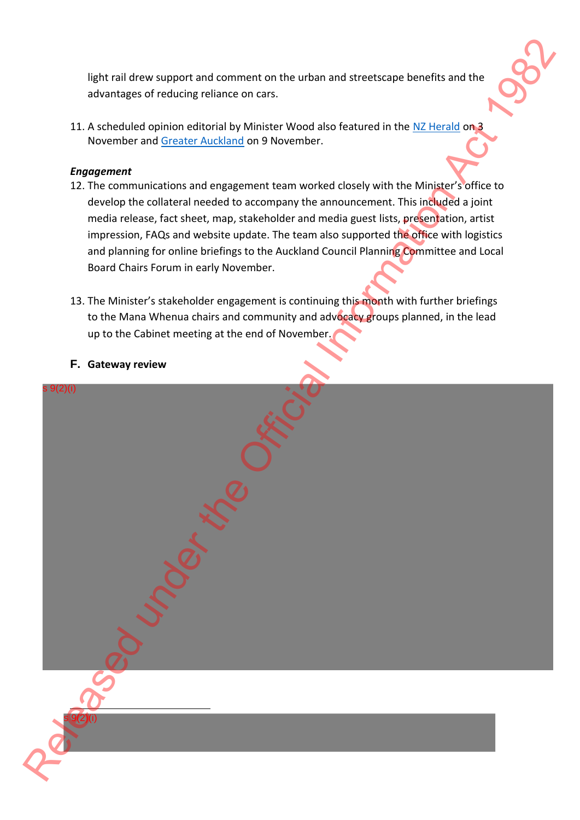light rail drew support and comment on the urban and streetscape benefits and the advantages of reducing reliance on cars.

11. A scheduled opinion editorial by Minister Wood also featured in the NZ Herald on 3 November and Greater Auckland on 9 November.

### *Engagement*

- 12. The communications and engagement team worked closely with the Minister's office to develop the collateral needed to accompany the announcement. This included a joint media release, fact sheet, map, stakeholder and media guest lists, presentation, artist impression, FAQs and website update. The team also supported the office with logistics and planning for online briefings to the Auckland Council Planning Committee and Local Board Chairs Forum in early November.
- 13. The Minister's stakeholder engagement is continuing this month with further briefings to the Mana Whenua chairs and community and advocacy groups planned, in the lead up to the Cabinet meeting at the end of November.

### **F. Gateway review**

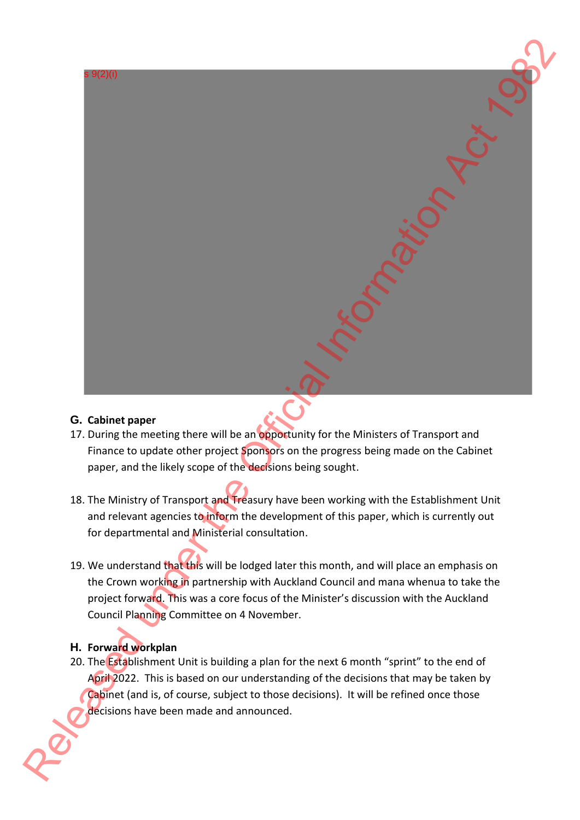# $9(2)(i)$ **RELEASE AND THE CONSULTER CONSULTER CONSULTER CONSULTER CONSULTER CONSULTER CONSULTER CONSULTER CONSULTER CONSULTER CONSULTER CONSULTER CONSULTER CONSULTER CONSULTER CONSULTER CONSULTER CONSULTER CONSULTER CONSULTER CONS**

# **G. Cabinet paper**

- 17. During the meeting there will be an opportunity for the Ministers of Transport and Finance to update other project **Sponsors** on the progress being made on the Cabinet paper, and the likely scope of the decisions being sought.
- 18. The Ministry of Transport and Treasury have been working with the Establishment Unit and relevant agencies to inform the development of this paper, which is currently out for departmental and Ministerial consultation.
- 19. We understand that this will be lodged later this month, and will place an emphasis on the Crown working in partnership with Auckland Council and mana whenua to take the project forward. This was a core focus of the Minister's discussion with the Auckland Council Planning Committee on 4 November.

# **H. Forward workplan**

20. The Establishment Unit is building a plan for the next 6 month "sprint" to the end of April 2022. This is based on our understanding of the decisions that may be taken by Cabinet (and is, of course, subject to those decisions). It will be refined once those decisions have been made and announced.